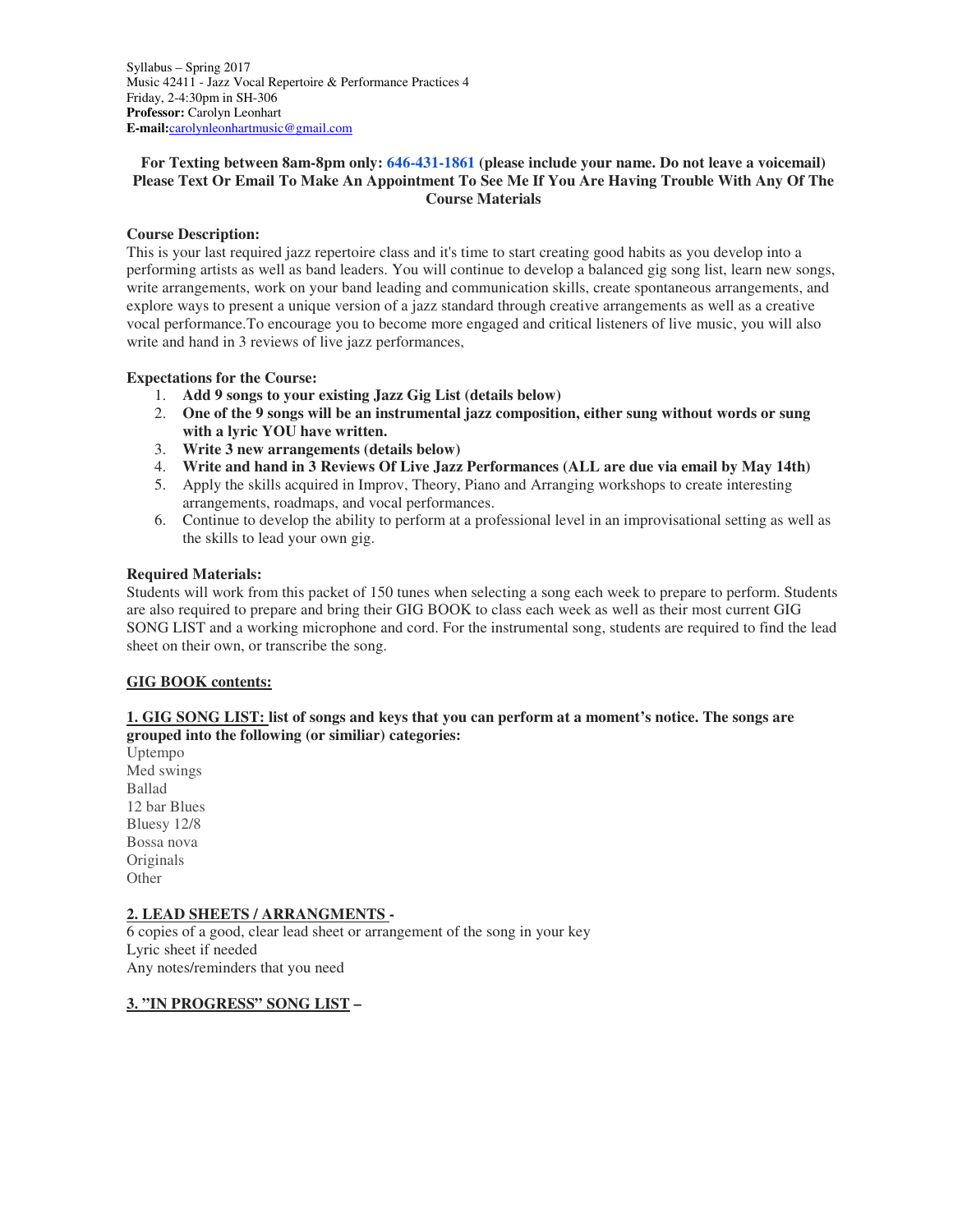Syllabus – Spring 2017 Music 42411 - Jazz Vocal Repertoire & Performance Practices 4 Friday, 2-4:30pm in SH-306 **Professor:** Carolyn Leonhart **E-mail:**carolynleonhartmusic@gmail.com

## **For Texting between 8am-8pm only: 646-431-1861 (please include your name. Do not leave a voicemail) Please Text Or Email To Make An Appointment To See Me If You Are Having Trouble With Any Of The Course Materials**

### **Course Description:**

This is your last required jazz repertoire class and it's time to start creating good habits as you develop into a performing artists as well as band leaders. You will continue to develop a balanced gig song list, learn new songs, write arrangements, work on your band leading and communication skills, create spontaneous arrangements, and explore ways to present a unique version of a jazz standard through creative arrangements as well as a creative vocal performance.To encourage you to become more engaged and critical listeners of live music, you will also write and hand in 3 reviews of live jazz performances,

### **Expectations for the Course:**

- 1. **Add 9 songs to your existing Jazz Gig List (details below)**
- 2. **One of the 9 songs will be an instrumental jazz composition, either sung without words or sung with a lyric YOU have written.**
- 3. **Write 3 new arrangements (details below)**
- 4. **Write and hand in 3 Reviews Of Live Jazz Performances (ALL are due via email by May 14th)**
- 5. Apply the skills acquired in Improv, Theory, Piano and Arranging workshops to create interesting arrangements, roadmaps, and vocal performances.
- 6. Continue to develop the ability to perform at a professional level in an improvisational setting as well as the skills to lead your own gig.

#### **Required Materials:**

Students will work from this packet of 150 tunes when selecting a song each week to prepare to perform. Students are also required to prepare and bring their GIG BOOK to class each week as well as their most current GIG SONG LIST and a working microphone and cord. For the instrumental song, students are required to find the lead sheet on their own, or transcribe the song.

#### **GIG BOOK contents:**

## **1. GIG SONG LIST: list of songs and keys that you can perform at a moment's notice. The songs are grouped into the following (or similiar) categories:**

Uptempo Med swings Ballad 12 bar Blues Bluesy 12/8 Bossa nova Originals **Other** 

## **2. LEAD SHEETS / ARRANGMENTS -**

6 copies of a good, clear lead sheet or arrangement of the song in your key Lyric sheet if needed Any notes/reminders that you need

#### **3. "IN PROGRESS" SONG LIST –**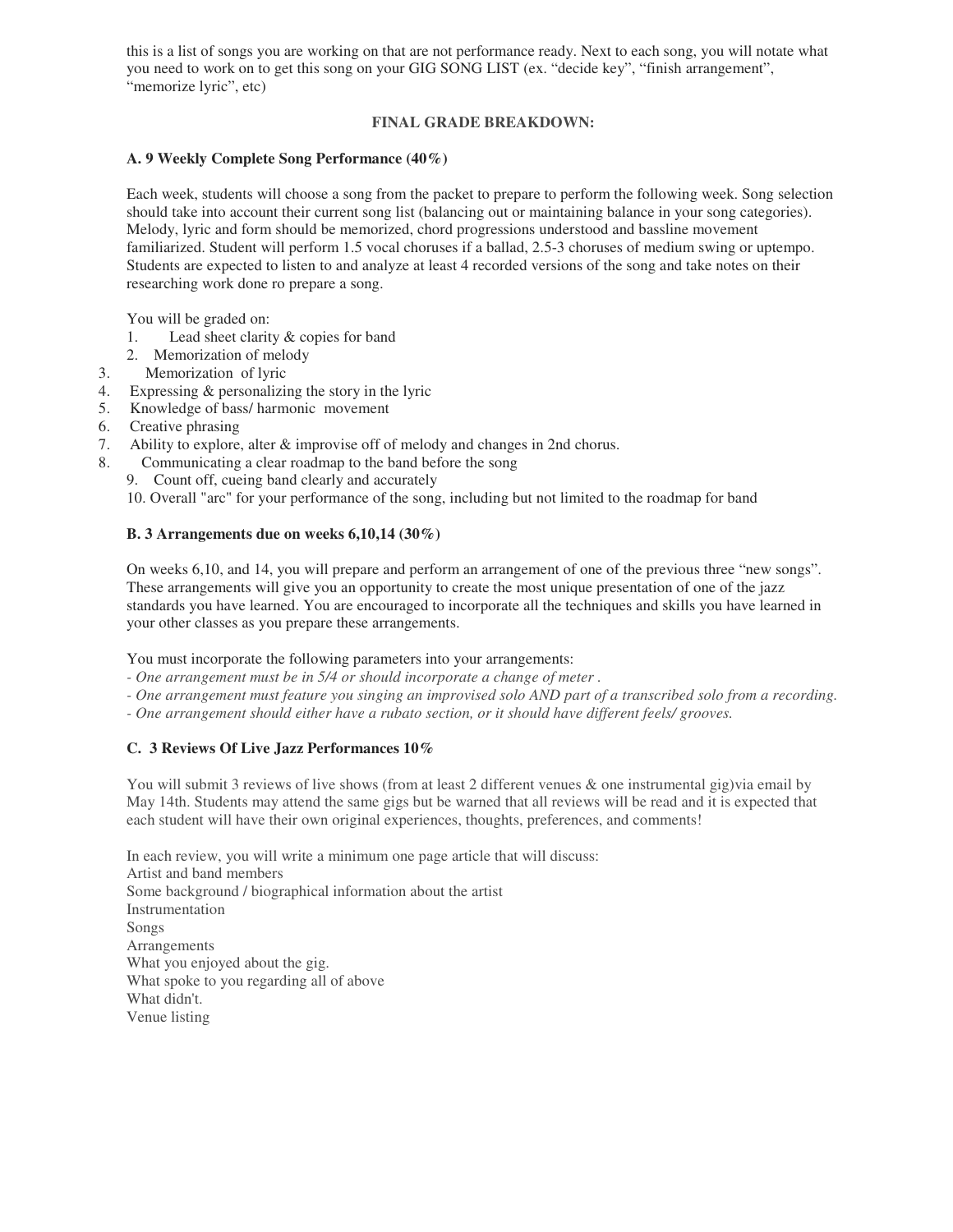this is a list of songs you are working on that are not performance ready. Next to each song, you will notate what you need to work on to get this song on your GIG SONG LIST (ex. "decide key", "finish arrangement", "memorize lyric", etc)

# **FINAL GRADE BREAKDOWN:**

## **A. 9 Weekly Complete Song Performance (40%)**

Each week, students will choose a song from the packet to prepare to perform the following week. Song selection should take into account their current song list (balancing out or maintaining balance in your song categories). Melody, lyric and form should be memorized, chord progressions understood and bassline movement familiarized. Student will perform 1.5 vocal choruses if a ballad, 2.5-3 choruses of medium swing or uptempo. Students are expected to listen to and analyze at least 4 recorded versions of the song and take notes on their researching work done ro prepare a song.

You will be graded on:

- 1. Lead sheet clarity & copies for band
- 2. Memorization of melody
- 3. Memorization of lyric
- 4. Expressing & personalizing the story in the lyric
- 5. Knowledge of bass/ harmonic movement
- 6. Creative phrasing
- 7. Ability to explore, alter & improvise off of melody and changes in 2nd chorus.
- 8. Communicating a clear roadmap to the band before the song
	- 9. Count off, cueing band clearly and accurately

10. Overall "arc" for your performance of the song, including but not limited to the roadmap for band

# **B. 3 Arrangements due on weeks 6,10,14 (30%)**

On weeks 6,10, and 14, you will prepare and perform an arrangement of one of the previous three "new songs". These arrangements will give you an opportunity to create the most unique presentation of one of the jazz standards you have learned. You are encouraged to incorporate all the techniques and skills you have learned in your other classes as you prepare these arrangements.

You must incorporate the following parameters into your arrangements:

- *One arrangement must be in 5/4 or should incorporate a change of meter .*
- *One arrangement must feature you singing an improvised solo AND part of a transcribed solo from a recording.*
- *One arrangement should either have a rubato section, or it should have different feels/ grooves.*

# **C. 3 Reviews Of Live Jazz Performances 10%**

You will submit 3 reviews of live shows (from at least 2 different venues & one instrumental gig)via email by May 14th. Students may attend the same gigs but be warned that all reviews will be read and it is expected that each student will have their own original experiences, thoughts, preferences, and comments!

In each review, you will write a minimum one page article that will discuss: Artist and band members Some background / biographical information about the artist Instrumentation Songs Arrangements What you enjoyed about the gig. What spoke to you regarding all of above What didn't. Venue listing